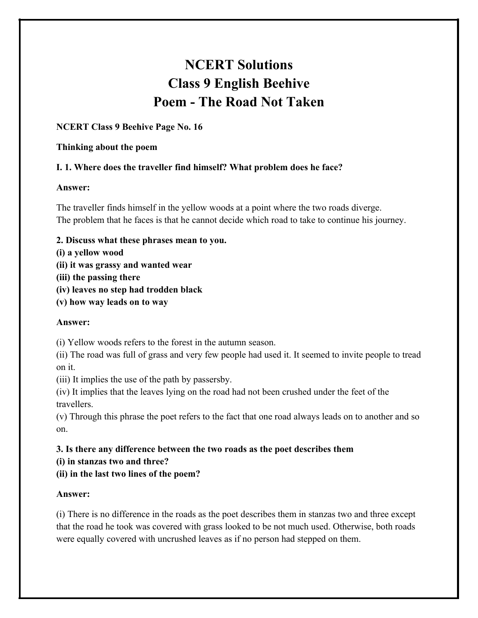# **NCERT Solutions Class 9 English Beehive Poem - The Road Not Taken**

## **NCERT Class 9 Beehive Page No. 16**

#### **Thinking about the poem**

## **I. 1. Where does the traveller find himself? What problem does he face?**

### **Answer:**

The traveller finds himself in the yellow woods at a point where the two roads diverge. The problem that he faces is that he cannot decide which road to take to continue his journey.

- **2. Discuss what these phrases mean to you.**
- **(i) a yellow wood**
- **(ii) it was grassy and wanted wear**
- **(iii) the passing there**
- **(iv) leaves no step had trodden black**
- **(v) how way leads on to way**

### **Answer:**

(i) Yellow woods refers to the forest in the autumn season.

(ii) The road was full of grass and very few people had used it. It seemed to invite people to tread on it.

(iii) It implies the use of the path by passersby.

(iv) It implies that the leaves lying on the road had not been crushed under the feet of the travellers.

(v) Through this phrase the poet refers to the fact that one road always leads on to another and so on.

**3. Is there any difference between the two roads as the poet describes them**

- **(i) in stanzas two and three?**
- **(ii) in the last two lines of the poem?**

## **Answer:**

(i) There is no difference in the roads as the poet describes them in stanzas two and three except that the road he took was covered with grass looked to be not much used. Otherwise, both roads were equally covered with uncrushed leaves as if no person had stepped on them.